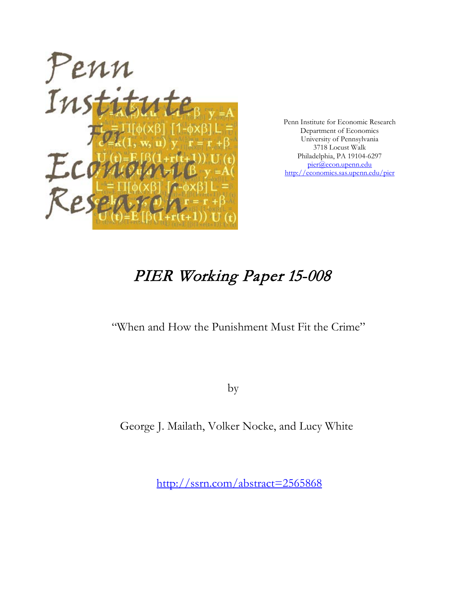

Penn Institute for Economic Research Department of Economics University of Pennsylvania 3718 Locust Walk Philadelphia, PA 19104-6297 [pier@econ.upenn.edu](mailto:pier@econ.upenn.edu) <http://economics.sas.upenn.edu/pier>

# PIER Working Paper 15-008

"When and How the Punishment Must Fit the Crime"

by

George J. Mailath, Volker Nocke, and Lucy White

[http://ssrn.com/abstract=2](http://ssrn.com/abstract_id=)565868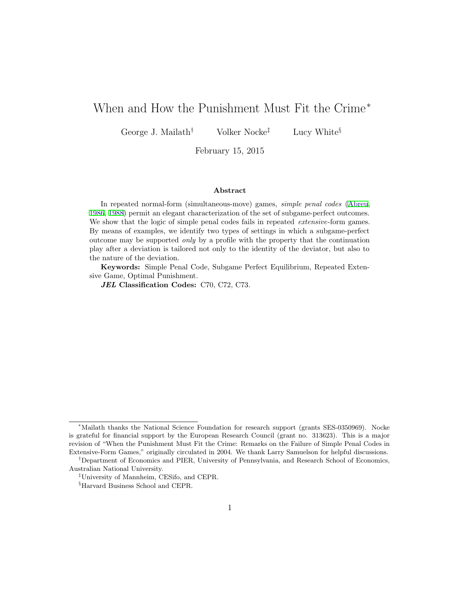# When and How the Punishment Must Fit the Crime<sup>∗</sup>

George J. Mailath<sup>†</sup> Volker Nocke<sup>‡</sup> Lucy White<sup>§</sup>

February 15, 2015

#### Abstract

In repeated normal-form (simultaneous-move) games, simple penal codes [\(Abreu](#page-22-0), [1986,](#page-22-0) [1988\)](#page-22-0) permit an elegant characterization of the set of subgame-perfect outcomes. We show that the logic of simple penal codes fails in repeated *extensive*-form games. By means of examples, we identify two types of settings in which a subgame-perfect outcome may be supported only by a profile with the property that the continuation play after a deviation is tailored not only to the identity of the deviator, but also to the nature of the deviation.

Keywords: Simple Penal Code, Subgame Perfect Equilibrium, Repeated Extensive Game, Optimal Punishment.

JEL Classification Codes: C70, C72, C73.

<sup>∗</sup>Mailath thanks the National Science Foundation for research support (grants SES-0350969). Nocke is grateful for financial support by the European Research Council (grant no. 313623). This is a major revision of "When the Punishment Must Fit the Crime: Remarks on the Failure of Simple Penal Codes in Extensive-Form Games," originally circulated in 2004. We thank Larry Samuelson for helpful discussions.

<sup>†</sup>Department of Economics and PIER, University of Pennsylvania, and Research School of Economics, Australian National University.

<sup>‡</sup>University of Mannheim, CESifo, and CEPR.

<sup>§</sup>Harvard Business School and CEPR.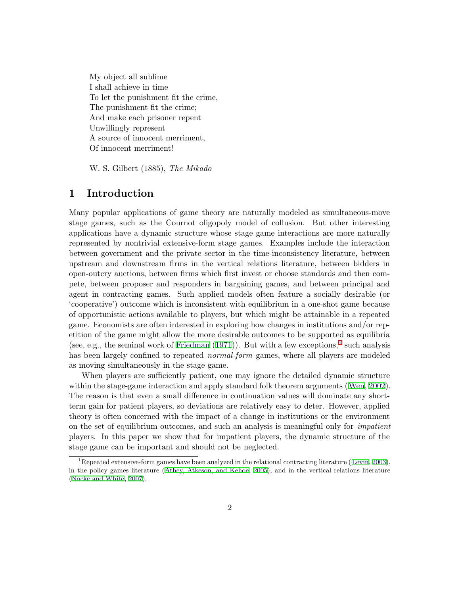My object all sublime I shall achieve in time To let the punishment fit the crime, The punishment fit the crime; And make each prisoner repent Unwillingly represent A source of innocent merriment, Of innocent merriment!

W. S. Gilbert (1885), The Mikado

## 1 Introduction

Many popular applications of game theory are naturally modeled as simultaneous-move stage games, such as the Cournot oligopoly model of collusion. But other interesting applications have a dynamic structure whose stage game interactions are more naturally represented by nontrivial extensive-form stage games. Examples include the interaction between government and the private sector in the time-inconsistency literature, between upstream and downstream firms in the vertical relations literature, between bidders in open-outcry auctions, between firms which first invest or choose standards and then compete, between proposer and responders in bargaining games, and between principal and agent in contracting games. Such applied models often feature a socially desirable (or 'cooperative') outcome which is inconsistent with equilibrium in a one-shot game because of opportunistic actions available to players, but which might be attainable in a repeated game. Economists are often interested in exploring how changes in institutions and/or repetition of the game might allow the more desirable outcomes to be supported as equilibria (see, e.g., the seminal work of [Friedman](#page-22-0)  $(1971)$  $(1971)$ ). But with a few exceptions,<sup>1</sup> such analysis has been largely confined to repeated *normal-form* games, where all players are modeled as moving simultaneously in the stage game.

When players are sufficiently patient, one may ignore the detailed dynamic structure within the stage-game interaction and apply standard folk theorem arguments ([Wen](#page-23-0), [2002\)](#page-23-0). The reason is that even a small difference in continuation values will dominate any shortterm gain for patient players, so deviations are relatively easy to deter. However, applied theory is often concerned with the impact of a change in institutions or the environment on the set of equilibrium outcomes, and such an analysis is meaningful only for *impatient* players. In this paper we show that for impatient players, the dynamic structure of the stage game can be important and should not be neglected.

<sup>&</sup>lt;sup>1</sup>Repeated extensive-form games have been analyzed in the relational contracting literature ([Levin](#page-23-0), [2003](#page-23-0)), in the policy games literature ([Athey, Atkeson, and Kehoe](#page-22-0), [2005](#page-22-0)), and in the vertical relations literature [\(Nocke and White,](#page-23-0) [2007\)](#page-23-0).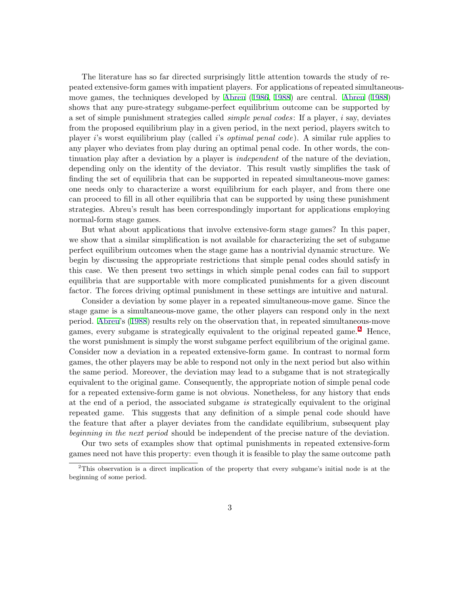The literature has so far directed surprisingly little attention towards the study of repeated extensive-form games with impatient players. For applications of repeated simultaneousmove games, the techniques developed by [Abreu](#page-22-0) ([1986](#page-22-0), [1988\)](#page-22-0) are central. [Abreu](#page-22-0) [\(1988\)](#page-22-0) shows that any pure-strategy subgame-perfect equilibrium outcome can be supported by a set of simple punishment strategies called *simple penal codes*: If a player, i say, deviates from the proposed equilibrium play in a given period, in the next period, players switch to player i's worst equilibrium play (called i's *optimal penal code*). A similar rule applies to any player who deviates from play during an optimal penal code. In other words, the continuation play after a deviation by a player is independent of the nature of the deviation, depending only on the identity of the deviator. This result vastly simplifies the task of finding the set of equilibria that can be supported in repeated simultaneous-move games: one needs only to characterize a worst equilibrium for each player, and from there one can proceed to fill in all other equilibria that can be supported by using these punishment strategies. Abreu's result has been correspondingly important for applications employing normal-form stage games.

But what about applications that involve extensive-form stage games? In this paper, we show that a similar simplification is not available for characterizing the set of subgame perfect equilibrium outcomes when the stage game has a nontrivial dynamic structure. We begin by discussing the appropriate restrictions that simple penal codes should satisfy in this case. We then present two settings in which simple penal codes can fail to support equilibria that are supportable with more complicated punishments for a given discount factor. The forces driving optimal punishment in these settings are intuitive and natural.

Consider a deviation by some player in a repeated simultaneous-move game. Since the stage game is a simultaneous-move game, the other players can respond only in the next period. [Abreu](#page-22-0)'s ([1988\)](#page-22-0) results rely on the observation that, in repeated simultaneous-move games, every subgame is strategically equivalent to the original repeated game.<sup>2</sup> Hence, the worst punishment is simply the worst subgame perfect equilibrium of the original game. Consider now a deviation in a repeated extensive-form game. In contrast to normal form games, the other players may be able to respond not only in the next period but also within the same period. Moreover, the deviation may lead to a subgame that is not strategically equivalent to the original game. Consequently, the appropriate notion of simple penal code for a repeated extensive-form game is not obvious. Nonetheless, for any history that ends at the end of a period, the associated subgame is strategically equivalent to the original repeated game. This suggests that any definition of a simple penal code should have the feature that after a player deviates from the candidate equilibrium, subsequent play beginning in the next period should be independent of the precise nature of the deviation.

Our two sets of examples show that optimal punishments in repeated extensive-form games need not have this property: even though it is feasible to play the same outcome path

 $2$ This observation is a direct implication of the property that every subgame's initial node is at the beginning of some period.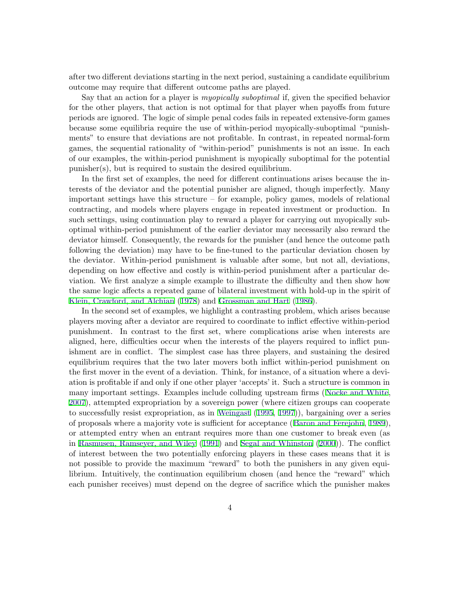after two different deviations starting in the next period, sustaining a candidate equilibrium outcome may require that different outcome paths are played.

Say that an action for a player is myopically suboptimal if, given the specified behavior for the other players, that action is not optimal for that player when payoffs from future periods are ignored. The logic of simple penal codes fails in repeated extensive-form games because some equilibria require the use of within-period myopically-suboptimal "punishments" to ensure that deviations are not profitable. In contrast, in repeated normal-form games, the sequential rationality of "within-period" punishments is not an issue. In each of our examples, the within-period punishment is myopically suboptimal for the potential punisher(s), but is required to sustain the desired equilibrium.

In the first set of examples, the need for different continuations arises because the interests of the deviator and the potential punisher are aligned, though imperfectly. Many important settings have this structure – for example, policy games, models of relational contracting, and models where players engage in repeated investment or production. In such settings, using continuation play to reward a player for carrying out myopically suboptimal within-period punishment of the earlier deviator may necessarily also reward the deviator himself. Consequently, the rewards for the punisher (and hence the outcome path following the deviation) may have to be fine-tuned to the particular deviation chosen by the deviator. Within-period punishment is valuable after some, but not all, deviations, depending on how effective and costly is within-period punishment after a particular deviation. We first analyze a simple example to illustrate the difficulty and then show how the same logic affects a repeated game of bilateral investment with hold-up in the spirit of [Klein, Crawford, and Alchian](#page-23-0) [\(1978](#page-23-0)) and [Grossman and Hart](#page-22-0) ([1986](#page-22-0)).

In the second set of examples, we highlight a contrasting problem, which arises because players moving after a deviator are required to coordinate to inflict effective within-period punishment. In contrast to the first set, where complications arise when interests are aligned, here, difficulties occur when the interests of the players required to inflict punishment are in conflict. The simplest case has three players, and sustaining the desired equilibrium requires that the two later movers both inflict within-period punishment on the first mover in the event of a deviation. Think, for instance, of a situation where a deviation is profitable if and only if one other player 'accepts' it. Such a structure is common in many important settings. Examples include colluding upstream firms ([Nocke and White](#page-23-0), [2007\)](#page-23-0), attempted expropriation by a sovereign power (where citizen groups can cooperate to successfully resist expropriation, as in [Weingast](#page-23-0) ([1995,](#page-23-0) [1997](#page-23-0))), bargaining over a series of proposals where a majority vote is sufficient for acceptance ([Baron and Ferejohn,](#page-22-0) [1989\)](#page-22-0), or attempted entry when an entrant requires more than one customer to break even (as in [Rasmusen, Ramseyer, and Wiley](#page-23-0) [\(1991](#page-23-0)) and [Segal and Whinston](#page-23-0) ([2000\)](#page-23-0)). The conflict of interest between the two potentially enforcing players in these cases means that it is not possible to provide the maximum "reward" to both the punishers in any given equilibrium. Intuitively, the continuation equilibrium chosen (and hence the "reward" which each punisher receives) must depend on the degree of sacrifice which the punisher makes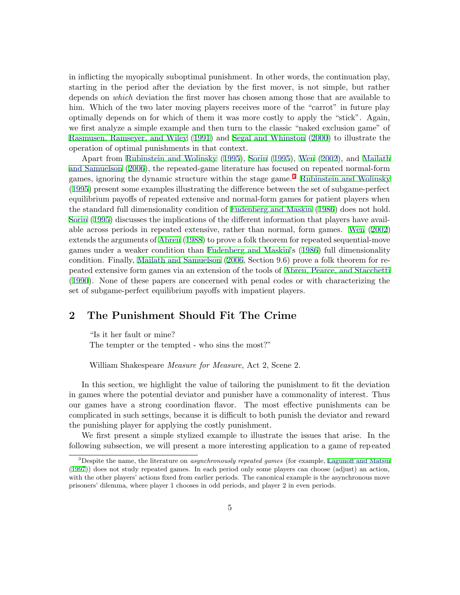<span id="page-5-0"></span>in inflicting the myopically suboptimal punishment. In other words, the continuation play, starting in the period after the deviation by the first mover, is not simple, but rather depends on which deviation the first mover has chosen among those that are available to him. Which of the two later moving players receives more of the "carrot" in future play optimally depends on for which of them it was more costly to apply the "stick". Again, we first analyze a simple example and then turn to the classic "naked exclusion game" of [Rasmusen, Ramseyer, and Wiley](#page-23-0) ([1991\)](#page-23-0) and [Segal and Whinston](#page-23-0) ([2000\)](#page-23-0) to illustrate the operation of optimal punishments in that context.

Apart from [Rubinstein and Wolinsky](#page-23-0) ([1995](#page-23-0)), [Sorin](#page-23-0) [\(1995](#page-23-0)), [Wen](#page-23-0) ([2002](#page-23-0)), and [Mailath](#page-23-0) [and Samuelson](#page-23-0) ([2006\)](#page-23-0), the repeated-game literature has focused on repeated normal-form games, ignoring the dynamic structure within the stage game.<sup>3</sup> [Rubinstein and Wolinsky](#page-23-0) [\(1995\)](#page-23-0) present some examples illustrating the difference between the set of subgame-perfect equilibrium payoffs of repeated extensive and normal-form games for patient players when the standard full dimensionality condition of [Fudenberg and Maskin](#page-22-0) ([1986](#page-22-0)) does not hold. [Sorin](#page-23-0) [\(1995](#page-23-0)) discusses the implications of the different information that players have available across periods in repeated extensive, rather than normal, form games. [Wen](#page-23-0) [\(2002\)](#page-23-0) extends the arguments of [Abreu](#page-22-0) [\(1988](#page-22-0)) to prove a folk theorem for repeated sequential-move games under a weaker condition than [Fudenberg and Maskin](#page-22-0)'s ([1986](#page-22-0)) full dimensionality condition. Finally, [Mailath and Samuelson](#page-23-0) [\(2006,](#page-23-0) Section 9.6) prove a folk theorem for repeated extensive form games via an extension of the tools of [Abreu, Pearce, and Stacchetti](#page-22-0) [\(1990\)](#page-22-0). None of these papers are concerned with penal codes or with characterizing the set of subgame-perfect equilibrium payoffs with impatient players.

### 2 The Punishment Should Fit The Crime

"Is it her fault or mine?

The tempter or the tempted - who sins the most?"

William Shakespeare Measure for Measure, Act 2, Scene 2.

In this section, we highlight the value of tailoring the punishment to fit the deviation in games where the potential deviator and punisher have a commonality of interest. Thus our games have a strong coordination flavor. The most effective punishments can be complicated in such settings, because it is difficult to both punish the deviator and reward the punishing player for applying the costly punishment.

We first present a simple stylized example to illustrate the issues that arise. In the following subsection, we will present a more interesting application to a game of repeated

<sup>&</sup>lt;sup>3</sup>Despite the name, the literature on *asynchronously repeated games* (for example, [Lagunoff and Matsui](#page-23-0) [\(1997\)](#page-23-0)) does not study repeated games. In each period only some players can choose (adjust) an action, with the other players' actions fixed from earlier periods. The canonical example is the asynchronous move prisoners' dilemma, where player 1 chooses in odd periods, and player 2 in even periods.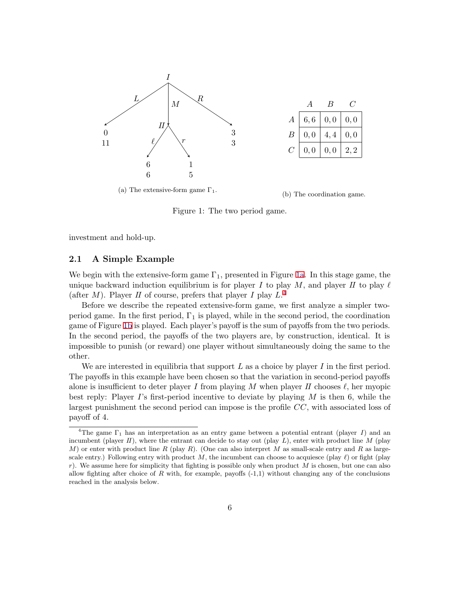<span id="page-6-0"></span>

(a) The extensive-form game  $\Gamma_1$ .

(b) The coordination game.

Figure 1: The two period game.

investment and hold-up.

### 2.1 A Simple Example

We begin with the extensive-form game  $\Gamma_1$ , presented in Figure 1a. In this stage game, the unique backward induction equilibrium is for player I to play M, and player II to play  $\ell$ (after  $M$ ). Player  $II$  of course, prefers that player  $I$  play  $L$ .<sup>4</sup>

Before we describe the repeated extensive-form game, we first analyze a simpler twoperiod game. In the first period,  $\Gamma_1$  is played, while in the second period, the coordination game of Figure 1b is played. Each player's payoff is the sum of payoffs from the two periods. In the second period, the payoffs of the two players are, by construction, identical. It is impossible to punish (or reward) one player without simultaneously doing the same to the other.

We are interested in equilibria that support  $L$  as a choice by player  $I$  in the first period. The payoffs in this example have been chosen so that the variation in second-period payoffs alone is insufficient to deter player I from playing M when player II chooses  $\ell$ , her myopic best reply: Player I's first-period incentive to deviate by playing  $M$  is then 6, while the largest punishment the second period can impose is the profile CC, with associated loss of payoff of 4.

<sup>&</sup>lt;sup>4</sup>The game  $\Gamma_1$  has an interpretation as an entry game between a potential entrant (player I) and an incumbent (player  $II$ ), where the entrant can decide to stay out (play  $L$ ), enter with product line  $M$  (play M) or enter with product line R (play R). (One can also interpret M as small-scale entry and R as largescale entry.) Following entry with product M, the incumbent can choose to acquiesce (play  $\ell$ ) or fight (play r). We assume here for simplicity that fighting is possible only when product  $M$  is chosen, but one can also allow fighting after choice of R with, for example, payoffs  $(-1,1)$  without changing any of the conclusions reached in the analysis below.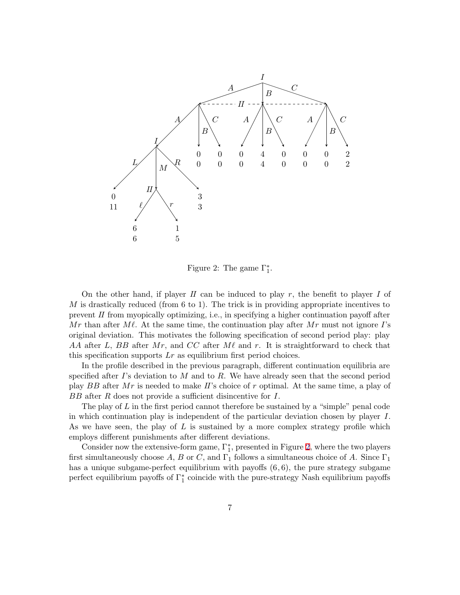

Figure 2: The game  $\Gamma_1^*$ .

On the other hand, if player  $II$  can be induced to play  $r$ , the benefit to player  $I$  of  $M$  is drastically reduced (from 6 to 1). The trick is in providing appropriate incentives to prevent  $II$  from myopically optimizing, i.e., in specifying a higher continuation payoff after Mr than after  $M\ell$ . At the same time, the continuation play after Mr must not ignore I's original deviation. This motivates the following specification of second period play: play AA after L, BB after  $Mr$ , and CC after  $M\ell$  and r. It is straightforward to check that this specification supports  $Lr$  as equilibrium first period choices.

In the profile described in the previous paragraph, different continuation equilibria are specified after  $I$ 's deviation to  $M$  and to  $R$ . We have already seen that the second period play BB after Mr is needed to make II's choice of r optimal. At the same time, a play of BB after R does not provide a sufficient disincentive for I.

The play of L in the first period cannot therefore be sustained by a "simple" penal code in which continuation play is independent of the particular deviation chosen by player I. As we have seen, the play of  $L$  is sustained by a more complex strategy profile which employs different punishments after different deviations.

Consider now the extensive-form game,  $\Gamma_1^*$ , presented in Figure 2, where the two players first simultaneously choose A, B or C, and  $\Gamma_1$  follows a simultaneous choice of A. Since  $\Gamma_1$ has a unique subgame-perfect equilibrium with payoffs  $(6, 6)$ , the pure strategy subgame perfect equilibrium payoffs of  $\Gamma_1^*$  coincide with the pure-strategy Nash equilibrium payoffs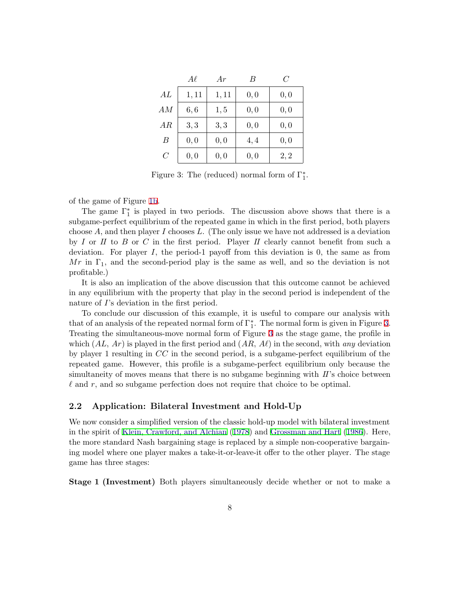|       | $A\ell$ | Ar   | B    | ◠    |
|-------|---------|------|------|------|
| AL    | 1,11    | 1,11 | 0, 0 | 0, 0 |
| AM    | 6,6     | 1, 5 | 0, 0 | 0, 0 |
| AR    | 3,3     | 3, 3 | 0, 0 | 0, 0 |
| B     | 0,0     | 0, 0 | 4, 4 | 0,0  |
| $\,C$ | 0,0     | 0, 0 | 0,0  | 2, 2 |

Figure 3: The (reduced) normal form of  $\Gamma_1^*$ .

of the game of Figure [1b.](#page-6-0)

The game  $\Gamma_1^*$  is played in two periods. The discussion above shows that there is a subgame-perfect equilibrium of the repeated game in which in the first period, both players choose A, and then player I chooses L. (The only issue we have not addressed is a deviation by I or II to B or C in the first period. Player II clearly cannot benefit from such a deviation. For player I, the period-1 payoff from this deviation is 0, the same as from  $Mr$  in  $\Gamma_1$ , and the second-period play is the same as well, and so the deviation is not profitable.)

It is also an implication of the above discussion that this outcome cannot be achieved in any equilibrium with the property that play in the second period is independent of the nature of I's deviation in the first period.

To conclude our discussion of this example, it is useful to compare our analysis with that of an analysis of the repeated normal form of  $\Gamma_1^*$ . The normal form is given in Figure 3. Treating the simultaneous-move normal form of Figure 3 as the stage game, the profile in which  $(AL, Ar)$  is played in the first period and  $(AR, A\ell)$  in the second, with any deviation by player 1 resulting in CC in the second period, is a subgame-perfect equilibrium of the repeated game. However, this profile is a subgame-perfect equilibrium only because the simultaneity of moves means that there is no subgame beginning with  $II$ 's choice between  $\ell$  and r, and so subgame perfection does not require that choice to be optimal.

### 2.2 Application: Bilateral Investment and Hold-Up

We now consider a simplified version of the classic hold-up model with bilateral investment in the spirit of [Klein, Crawford, and Alchian](#page-23-0) ([1978\)](#page-23-0) and [Grossman and Hart](#page-22-0) [\(1986](#page-22-0)). Here, the more standard Nash bargaining stage is replaced by a simple non-cooperative bargaining model where one player makes a take-it-or-leave-it offer to the other player. The stage game has three stages:

Stage 1 (Investment) Both players simultaneously decide whether or not to make a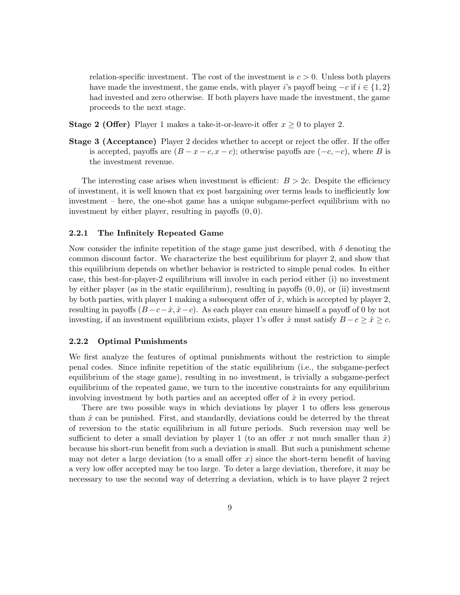relation-specific investment. The cost of the investment is  $c > 0$ . Unless both players have made the investment, the game ends, with player i's payoff being  $-c$  if  $i \in \{1,2\}$ had invested and zero otherwise. If both players have made the investment, the game proceeds to the next stage.

**Stage 2 (Offer)** Player 1 makes a take-it-or-leave-it offer  $x \ge 0$  to player 2.

Stage 3 (Acceptance) Player 2 decides whether to accept or reject the offer. If the offer is accepted, payoffs are  $(B - x - c, x - c)$ ; otherwise payoffs are  $(-c, -c)$ , where B is the investment revenue.

The interesting case arises when investment is efficient:  $B > 2c$ . Despite the efficiency of investment, it is well known that ex post bargaining over terms leads to inefficiently low investment – here, the one-shot game has a unique subgame-perfect equilibrium with no investment by either player, resulting in payoffs (0, 0).

### 2.2.1 The Infinitely Repeated Game

Now consider the infinite repetition of the stage game just described, with  $\delta$  denoting the common discount factor. We characterize the best equilibrium for player 2, and show that this equilibrium depends on whether behavior is restricted to simple penal codes. In either case, this best-for-player-2 equilibrium will involve in each period either (i) no investment by either player (as in the static equilibrium), resulting in payoffs  $(0,0)$ , or (ii) investment by both parties, with player 1 making a subsequent offer of  $\hat{x}$ , which is accepted by player 2, resulting in payoffs  $(B-c-\hat{x}, \hat{x}-c)$ . As each player can ensure himself a payoff of 0 by not investing, if an investment equilibrium exists, player 1's offer  $\hat{x}$  must satisfy  $B-c \geq \hat{x} \geq c$ .

#### 2.2.2 Optimal Punishments

We first analyze the features of optimal punishments without the restriction to simple penal codes. Since infinite repetition of the static equilibrium (i.e., the subgame-perfect equilibrium of the stage game), resulting in no investment, is trivially a subgame-perfect equilibrium of the repeated game, we turn to the incentive constraints for any equilibrium involving investment by both parties and an accepted offer of  $\hat{x}$  in every period.

There are two possible ways in which deviations by player 1 to offers less generous than  $\hat{x}$  can be punished. First, and standardly, deviations could be deterred by the threat of reversion to the static equilibrium in all future periods. Such reversion may well be sufficient to deter a small deviation by player 1 (to an offer x not much smaller than  $\hat{x}$ ) because his short-run benefit from such a deviation is small. But such a punishment scheme may not deter a large deviation (to a small offer  $x$ ) since the short-term benefit of having a very low offer accepted may be too large. To deter a large deviation, therefore, it may be necessary to use the second way of deterring a deviation, which is to have player 2 reject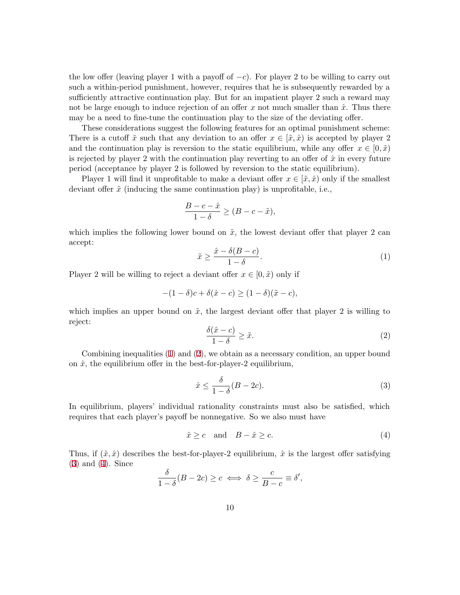the low offer (leaving player 1 with a payoff of  $-c$ ). For player 2 to be willing to carry out such a within-period punishment, however, requires that he is subsequently rewarded by a sufficiently attractive continuation play. But for an impatient player 2 such a reward may not be large enough to induce rejection of an offer x not much smaller than  $\hat{x}$ . Thus there may be a need to fine-tune the continuation play to the size of the deviating offer.

These considerations suggest the following features for an optimal punishment scheme: There is a cutoff  $\tilde{x}$  such that any deviation to an offer  $x \in [\tilde{x}, \hat{x})$  is accepted by player 2 and the continuation play is reversion to the static equilibrium, while any offer  $x \in [0, \tilde{x})$ is rejected by player 2 with the continuation play reverting to an offer of  $\hat{x}$  in every future period (acceptance by player 2 is followed by reversion to the static equilibrium).

Player 1 will find it unprofitable to make a deviant offer  $x \in [\tilde{x}, \hat{x})$  only if the smallest deviant offer  $\tilde{x}$  (inducing the same continuation play) is unprofitable, i.e.,

$$
\frac{B-c-\hat{x}}{1-\delta} \ge (B-c-\tilde{x}),
$$

which implies the following lower bound on  $\tilde{x}$ , the lowest deviant offer that player 2 can accept:

$$
\tilde{x} \ge \frac{\hat{x} - \delta(B - c)}{1 - \delta}.\tag{1}
$$

Player 2 will be willing to reject a deviant offer  $x \in [0, \tilde{x})$  only if

$$
-(1-\delta)c + \delta(\hat{x}-c) \ge (1-\delta)(\tilde{x}-c),
$$

which implies an upper bound on  $\tilde{x}$ , the largest deviant offer that player 2 is willing to reject:

$$
\frac{\delta(\hat{x}-c)}{1-\delta} \ge \tilde{x}.\tag{2}
$$

Combining inequalities (1) and (2), we obtain as a necessary condition, an upper bound on  $\hat{x}$ , the equilibrium offer in the best-for-player-2 equilibrium,

$$
\hat{x} \le \frac{\delta}{1-\delta}(B-2c). \tag{3}
$$

In equilibrium, players' individual rationality constraints must also be satisfied, which requires that each player's payoff be nonnegative. So we also must have

$$
\hat{x} \ge c \quad \text{and} \quad B - \hat{x} \ge c. \tag{4}
$$

Thus, if  $(\tilde{x}, \hat{x})$  describes the best-for-player-2 equilibrium,  $\hat{x}$  is the largest offer satisfying (3) and (4). Since

$$
\frac{\delta}{1-\delta}(B-2c) \ge c \iff \delta \ge \frac{c}{B-c} \equiv \delta',
$$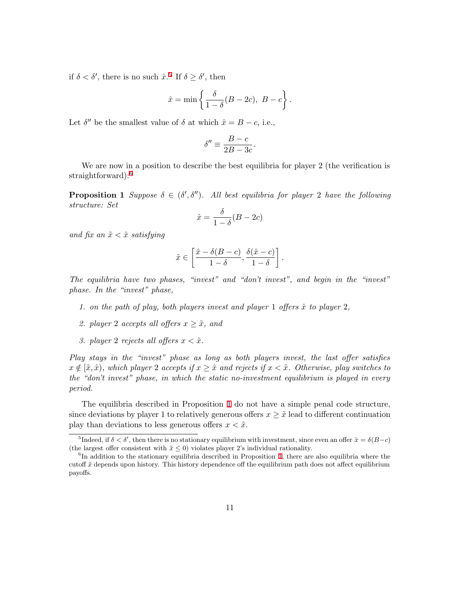if  $\delta < \delta'$ , there is no such  $\hat{x}$ .<sup>5</sup> If  $\delta \ge \delta'$ , then

$$
\hat{x} = \min \left\{ \frac{\delta}{1 - \delta} (B - 2c), \ B - c \right\}.
$$

Let  $\delta''$  be the smallest value of  $\delta$  at which  $\hat{x} = B - c$ , i.e.,

$$
\delta'' \equiv \frac{B - c}{2B - 3c}.
$$

We are now in a position to describe the best equilibria for player 2 (the verification is straightforward):<sup>6</sup>

**Proposition 1** Suppose  $\delta \in (\delta', \delta'')$ . All best equilibria for player 2 have the following structure: Set

$$
\hat{x} = \frac{\delta}{1 - \delta} (B - 2c)
$$

and fix an  $\tilde{x} < \hat{x}$  satisfying

$$
\tilde{x} \in \left[\frac{\hat{x} - \delta(B - c)}{1 - \delta}, \frac{\delta(\hat{x} - c)}{1 - \delta}\right].
$$

The equilibria have two phases, "invest" and "don't invest", and begin in the "invest" phase. In the "invest" phase,

- 1. on the path of play, both players invest and player 1 offers  $\hat{x}$  to player 2,
- 2. player 2 accepts all offers  $x > \tilde{x}$ , and
- 3. player 2 rejects all offers  $x < \tilde{x}$ .

Play stays in the "invest" phase as long as both players invest, the last offer satisfies  $x \notin [\tilde{x}, \hat{x})$ , which player 2 accepts if  $x \geq \hat{x}$  and rejects if  $x < \tilde{x}$ . Otherwise, play switches to the "don't invest" phase, in which the static no-investment equilibrium is played in every period.

The equilibria described in Proposition 1 do not have a simple penal code structure, since deviations by player 1 to relatively generous offers  $x \geq \tilde{x}$  lead to different continuation play than deviations to less generous offers  $x < \tilde{x}$ .

<sup>&</sup>lt;sup>5</sup>Indeed, if  $\delta < \delta'$ , then there is no stationary equilibrium with investment, since even an offer  $\hat{x} = \delta(B-c)$ (the largest offer consistent with  $\tilde{x} \le 0$ ) violates player 2's individual rationality.<br><sup>6</sup>In addition to the stationary equilibria described in Proposition 1, there are also equilibria where the

cutoff  $\tilde{x}$  depends upon history. This history dependence off the equilibrium path does not affect equilibrium payoffs.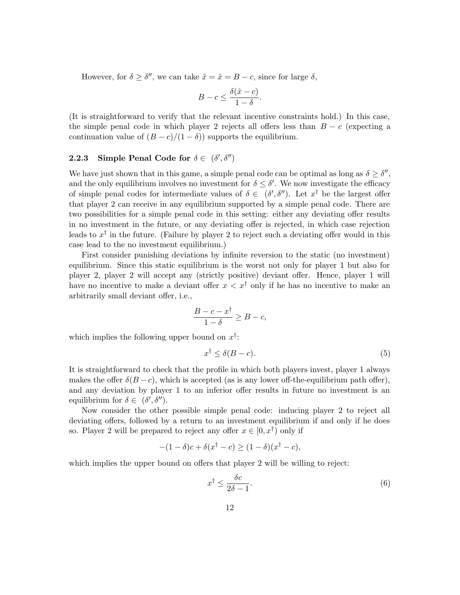<span id="page-12-0"></span>However, for  $\delta \geq \delta''$ , we can take  $\tilde{x} = \hat{x} = B - c$ , since for large  $\delta$ ,

$$
B - c \le \frac{\delta(\hat{x} - c)}{1 - \delta}.
$$

(It is straightforward to verify that the relevant incentive constraints hold.) In this case, the simple penal code in which player 2 rejects all offers less than  $B - c$  (expecting a continuation value of  $(B - c)/(1 - \delta)$  supports the equilibrium.

# **2.2.3** Simple Penal Code for  $\delta \in (\delta', \delta'')$

We have just shown that in this game, a simple penal code can be optimal as long as  $\delta \geq \delta''$ , and the only equilibrium involves no investment for  $\delta \leq \delta'$ . We now investigate the efficacy of simple penal codes for intermediate values of  $\delta \in (\delta', \delta'')$ . Let  $x^{\dagger}$  be the largest offer that player 2 can receive in any equilibrium supported by a simple penal code. There are two possibilities for a simple penal code in this setting: either any deviating offer results in no investment in the future, or any deviating offer is rejected, in which case rejection leads to  $x^{\dagger}$  in the future. (Failure by player 2 to reject such a deviating offer would in this case lead to the no investment equilibrium.)

First consider punishing deviations by infinite reversion to the static (no investment) equilibrium. Since this static equilibrium is the worst not only for player 1 but also for player 2, player 2 will accept any (strictly positive) deviant offer. Hence, player 1 will have no incentive to make a deviant offer  $x < x^{\dagger}$  only if he has no incentive to make an arbitrarily small deviant offer, i.e.,

$$
\frac{B-c-x^{\dagger}}{1-\delta} \geq B-c,
$$

which implies the following upper bound on  $x^{\dagger}$ :

$$
x^{\dagger} \le \delta(B - c). \tag{5}
$$

It is straightforward to check that the profile in which both players invest, player 1 always makes the offer  $\delta(B-c)$ , which is accepted (as is any lower off-the-equilibrium path offer), and any deviation by player 1 to an inferior offer results in future no investment is an equilibrium for  $\delta \in (\delta', \delta'')$ .

Now consider the other possible simple penal code: inducing player 2 to reject all deviating offers, followed by a return to an investment equilibrium if and only if he does so. Player 2 will be prepared to reject any offer  $x \in [0, x^{\dagger})$  only if

$$
-(1 - \delta)c + \delta(x^{\dagger} - c) \ge (1 - \delta)(x^{\dagger} - c),
$$

which implies the upper bound on offers that player 2 will be willing to reject:

$$
x^{\dagger} \le \frac{\delta c}{2\delta - 1}.\tag{6}
$$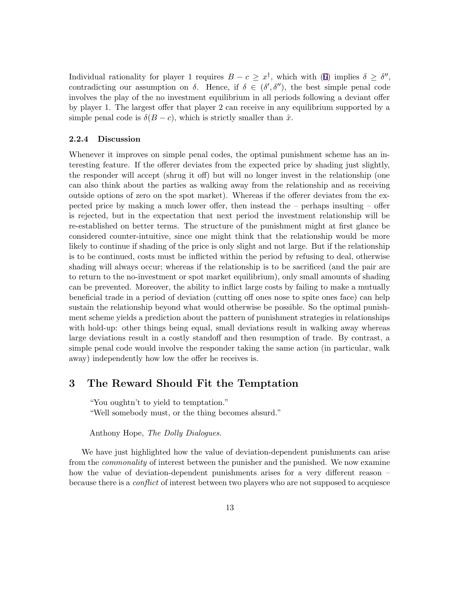Individual rationality for player 1 requires  $B - c \geq x^{\dagger}$ , which with ([6](#page-12-0)) implies  $\delta \geq \delta''$ , contradicting our assumption on  $\delta$ . Hence, if  $\delta \in (\delta', \delta'')$ , the best simple penal code involves the play of the no investment equilibrium in all periods following a deviant offer by player 1. The largest offer that player 2 can receive in any equilibrium supported by a simple penal code is  $\delta(B-c)$ , which is strictly smaller than  $\hat{x}$ .

### 2.2.4 Discussion

Whenever it improves on simple penal codes, the optimal punishment scheme has an interesting feature. If the offerer deviates from the expected price by shading just slightly, the responder will accept (shrug it off) but will no longer invest in the relationship (one can also think about the parties as walking away from the relationship and as receiving outside options of zero on the spot market). Whereas if the offerer deviates from the expected price by making a much lower offer, then instead the – perhaps insulting – offer is rejected, but in the expectation that next period the investment relationship will be re-established on better terms. The structure of the punishment might at first glance be considered counter-intuitive, since one might think that the relationship would be more likely to continue if shading of the price is only slight and not large. But if the relationship is to be continued, costs must be inflicted within the period by refusing to deal, otherwise shading will always occur; whereas if the relationship is to be sacrificed (and the pair are to return to the no-investment or spot market equilibrium), only small amounts of shading can be prevented. Moreover, the ability to inflict large costs by failing to make a mutually beneficial trade in a period of deviation (cutting off ones nose to spite ones face) can help sustain the relationship beyond what would otherwise be possible. So the optimal punishment scheme yields a prediction about the pattern of punishment strategies in relationships with hold-up: other things being equal, small deviations result in walking away whereas large deviations result in a costly standoff and then resumption of trade. By contrast, a simple penal code would involve the responder taking the same action (in particular, walk away) independently how low the offer he receives is.

### 3 The Reward Should Fit the Temptation

"You oughtn't to yield to temptation." "Well somebody must, or the thing becomes absurd."

Anthony Hope, The Dolly Dialogues.

We have just highlighted how the value of deviation-dependent punishments can arise from the *commonality* of interest between the punisher and the punished. We now examine how the value of deviation-dependent punishments arises for a very different reason – because there is a conflict of interest between two players who are not supposed to acquiesce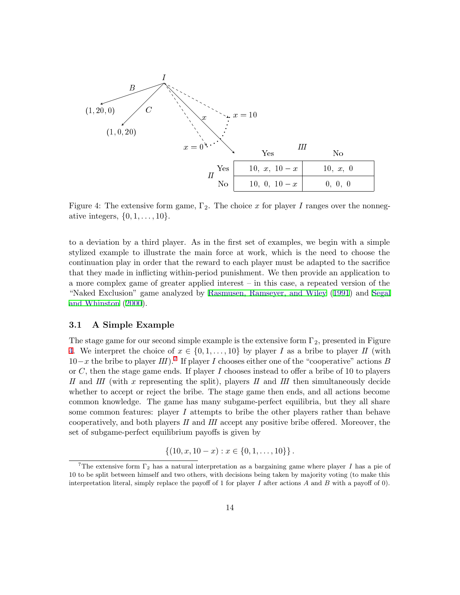

Figure 4: The extensive form game,  $\Gamma_2$ . The choice x for player I ranges over the nonnegative integers,  $\{0, 1, \ldots, 10\}$ .

to a deviation by a third player. As in the first set of examples, we begin with a simple stylized example to illustrate the main force at work, which is the need to choose the continuation play in order that the reward to each player must be adapted to the sacrifice that they made in inflicting within-period punishment. We then provide an application to a more complex game of greater applied interest – in this case, a repeated version of the "Naked Exclusion" game analyzed by [Rasmusen, Ramseyer, and Wiley](#page-23-0) ([1991](#page-23-0)) and [Segal](#page-23-0) [and Whinston](#page-23-0) [\(2000](#page-23-0)).

### 3.1 A Simple Example

The stage game for our second simple example is the extensive form  $\Gamma_2$ , presented in Figure 4. We interpret the choice of  $x \in \{0, 1, \ldots, 10\}$  by player I as a bribe to player II (with  $10-x$  the bribe to player III).<sup>7</sup> If player I chooses either one of the "cooperative" actions B or  $C$ , then the stage game ends. If player  $I$  chooses instead to offer a bribe of 10 to players II and III (with x representing the split), players II and III then simultaneously decide whether to accept or reject the bribe. The stage game then ends, and all actions become common knowledge. The game has many subgame-perfect equilibria, but they all share some common features: player  $I$  attempts to bribe the other players rather than behave cooperatively, and both players  $II$  and  $III$  accept any positive bribe offered. Moreover, the set of subgame-perfect equilibrium payoffs is given by

$$
\{(10, x, 10 - x) : x \in \{0, 1, \ldots, 10\}\}.
$$

<sup>&</sup>lt;sup>7</sup>The extensive form  $\Gamma_2$  has a natural interpretation as a bargaining game where player I has a pie of 10 to be split between himself and two others, with decisions being taken by majority voting (to make this interpretation literal, simply replace the payoff of 1 for player I after actions A and B with a payoff of 0).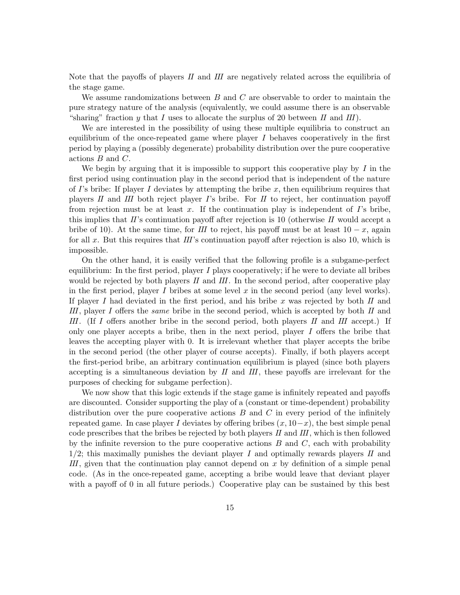Note that the payoffs of players II and III are negatively related across the equilibria of the stage game.

We assume randomizations between  $B$  and  $C$  are observable to order to maintain the pure strategy nature of the analysis (equivalently, we could assume there is an observable "sharing" fraction y that I uses to allocate the surplus of 20 between II and III).

We are interested in the possibility of using these multiple equilibria to construct an equilibrium of the once-repeated game where player  $I$  behaves cooperatively in the first period by playing a (possibly degenerate) probability distribution over the pure cooperative actions B and C.

We begin by arguing that it is impossible to support this cooperative play by  $I$  in the first period using continuation play in the second period that is independent of the nature of I's bribe: If player I deviates by attempting the bribe  $x$ , then equilibrium requires that players II and III both reject player I's bribe. For II to reject, her continuation payoff from rejection must be at least x. If the continuation play is independent of  $\Gamma$ 's bribe, this implies that  $II$ 's continuation payoff after rejection is 10 (otherwise  $II$  would accept a bribe of 10). At the same time, for III to reject, his payoff must be at least  $10 - x$ , again for all x. But this requires that  $III$ 's continuation payoff after rejection is also 10, which is impossible.

On the other hand, it is easily verified that the following profile is a subgame-perfect equilibrium: In the first period, player  $I$  plays cooperatively; if he were to deviate all bribes would be rejected by both players  $II$  and  $III$ . In the second period, after cooperative play in the first period, player I bribes at some level x in the second period (any level works). If player I had deviated in the first period, and his bribe x was rejected by both  $II$  and III, player I offers the *same* bribe in the second period, which is accepted by both II and III. (If I offers another bribe in the second period, both players II and III accept.) If only one player accepts a bribe, then in the next period, player  $I$  offers the bribe that leaves the accepting player with 0. It is irrelevant whether that player accepts the bribe in the second period (the other player of course accepts). Finally, if both players accept the first-period bribe, an arbitrary continuation equilibrium is played (since both players accepting is a simultaneous deviation by  $II$  and  $III$ , these payoffs are irrelevant for the purposes of checking for subgame perfection).

We now show that this logic extends if the stage game is infinitely repeated and payoffs are discounted. Consider supporting the play of a (constant or time-dependent) probability distribution over the pure cooperative actions  $B$  and  $C$  in every period of the infinitely repeated game. In case player I deviates by offering bribes  $(x, 10-x)$ , the best simple penal code prescribes that the bribes be rejected by both players  $II$  and  $III$ , which is then followed by the infinite reversion to the pure cooperative actions  $B$  and  $C$ , each with probability  $1/2$ ; this maximally punishes the deviant player I and optimally rewards players II and III, given that the continuation play cannot depend on x by definition of a simple penal code. (As in the once-repeated game, accepting a bribe would leave that deviant player with a payoff of 0 in all future periods.) Cooperative play can be sustained by this best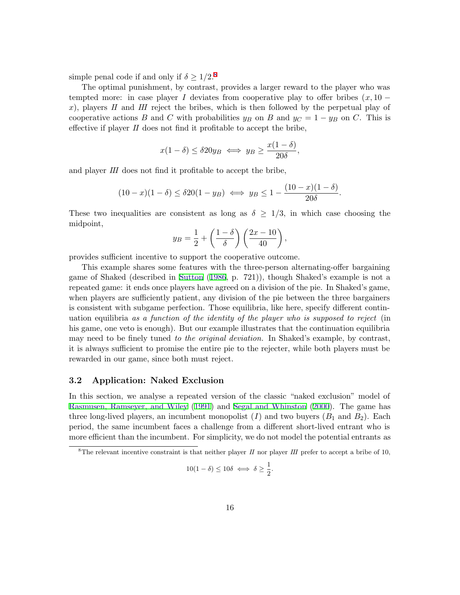simple penal code if and only if  $\delta \geq 1/2$ .<sup>8</sup>

The optimal punishment, by contrast, provides a larger reward to the player who was tempted more: in case player I deviates from cooperative play to offer bribes  $(x, 10$ x), players  $II$  and  $III$  reject the bribes, which is then followed by the perpetual play of cooperative actions B and C with probabilities  $y_B$  on B and  $y_C = 1 - y_B$  on C. This is effective if player  $II$  does not find it profitable to accept the bribe,

$$
x(1 - \delta) \le \delta 20y_B \iff y_B \ge \frac{x(1 - \delta)}{20\delta},
$$

and player III does not find it profitable to accept the bribe,

$$
(10-x)(1-\delta) \le \delta 20(1-y_B) \iff y_B \le 1 - \frac{(10-x)(1-\delta)}{20\delta}.
$$

These two inequalities are consistent as long as  $\delta \geq 1/3$ , in which case choosing the midpoint,

$$
y_B = \frac{1}{2} + \left(\frac{1-\delta}{\delta}\right) \left(\frac{2x-10}{40}\right),
$$

provides sufficient incentive to support the cooperative outcome.

This example shares some features with the three-person alternating-offer bargaining game of Shaked (described in [Sutton](#page-23-0) [\(1986](#page-23-0), p. 721)), though Shaked's example is not a repeated game: it ends once players have agreed on a division of the pie. In Shaked's game, when players are sufficiently patient, any division of the pie between the three bargainers is consistent with subgame perfection. Those equilibria, like here, specify different continuation equilibria as a function of the identity of the player who is supposed to reject (in his game, one veto is enough). But our example illustrates that the continuation equilibria may need to be finely tuned to the original deviation. In Shaked's example, by contrast, it is always sufficient to promise the entire pie to the rejecter, while both players must be rewarded in our game, since both must reject.

### 3.2 Application: Naked Exclusion

In this section, we analyse a repeated version of the classic "naked exclusion" model of [Rasmusen, Ramseyer, and Wiley](#page-23-0) ([1991\)](#page-23-0) and [Segal and Whinston](#page-23-0) ([2000](#page-23-0)). The game has three long-lived players, an incumbent monopolist  $(I)$  and two buyers  $(B_1 \text{ and } B_2)$ . Each period, the same incumbent faces a challenge from a different short-lived entrant who is more efficient than the incumbent. For simplicity, we do not model the potential entrants as

.

$$
10(1 - \delta) \le 10\delta \iff \delta \ge \frac{1}{2}
$$

<sup>&</sup>lt;sup>8</sup>The relevant incentive constraint is that neither player II nor player III prefer to accept a bribe of 10,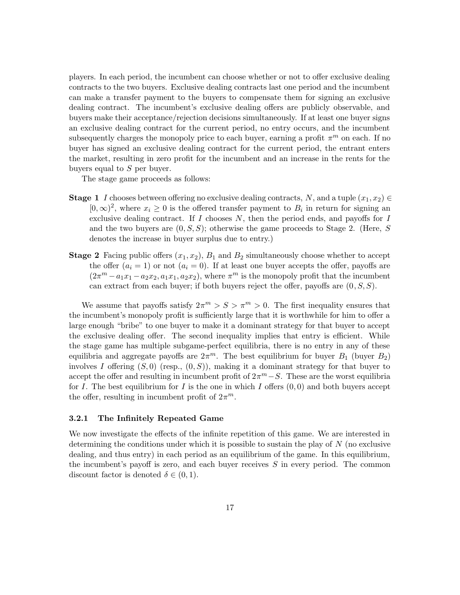players. In each period, the incumbent can choose whether or not to offer exclusive dealing contracts to the two buyers. Exclusive dealing contracts last one period and the incumbent can make a transfer payment to the buyers to compensate them for signing an exclusive dealing contract. The incumbent's exclusive dealing offers are publicly observable, and buyers make their acceptance/rejection decisions simultaneously. If at least one buyer signs an exclusive dealing contract for the current period, no entry occurs, and the incumbent subsequently charges the monopoly price to each buyer, earning a profit  $\pi^m$  on each. If no buyer has signed an exclusive dealing contract for the current period, the entrant enters the market, resulting in zero profit for the incumbent and an increase in the rents for the buyers equal to  $S$  per buyer.

The stage game proceeds as follows:

- **Stage 1** I chooses between offering no exclusive dealing contracts, N, and a tuple  $(x_1, x_2) \in$  $[0,\infty)^2$ , where  $x_i \geq 0$  is the offered transfer payment to  $B_i$  in return for signing an exclusive dealing contract. If  $I$  chooses  $N$ , then the period ends, and payoffs for  $I$ and the two buyers are  $(0, S, S)$ ; otherwise the game proceeds to Stage 2. (Here, S denotes the increase in buyer surplus due to entry.)
- **Stage 2** Facing public offers  $(x_1, x_2)$ ,  $B_1$  and  $B_2$  simultaneously choose whether to accept the offer  $(a_i = 1)$  or not  $(a_i = 0)$ . If at least one buyer accepts the offer, payoffs are  $(2\pi^m - a_1x_1 - a_2x_2, a_1x_1, a_2x_2)$ , where  $\pi^m$  is the monopoly profit that the incumbent can extract from each buyer; if both buyers reject the offer, payoffs are  $(0, S, S)$ .

We assume that payoffs satisfy  $2\pi^m > S > \pi^m > 0$ . The first inequality ensures that the incumbent's monopoly profit is sufficiently large that it is worthwhile for him to offer a large enough "bribe" to one buyer to make it a dominant strategy for that buyer to accept the exclusive dealing offer. The second inequality implies that entry is efficient. While the stage game has multiple subgame-perfect equilibria, there is no entry in any of these equilibria and aggregate payoffs are  $2\pi^m$ . The best equilibrium for buyer  $B_1$  (buyer  $B_2$ ) involves I offering  $(S, 0)$  (resp.,  $(0, S)$ ), making it a dominant strategy for that buyer to accept the offer and resulting in incumbent profit of  $2\pi^m-S$ . These are the worst equilibria for I. The best equilibrium for I is the one in which I offers  $(0,0)$  and both buyers accept the offer, resulting in incumbent profit of  $2\pi^m$ .

#### 3.2.1 The Infinitely Repeated Game

We now investigate the effects of the infinite repetition of this game. We are interested in determining the conditions under which it is possible to sustain the play of  $N$  (no exclusive dealing, and thus entry) in each period as an equilibrium of the game. In this equilibrium, the incumbent's payoff is zero, and each buyer receives  $S$  in every period. The common discount factor is denoted  $\delta \in (0,1)$ .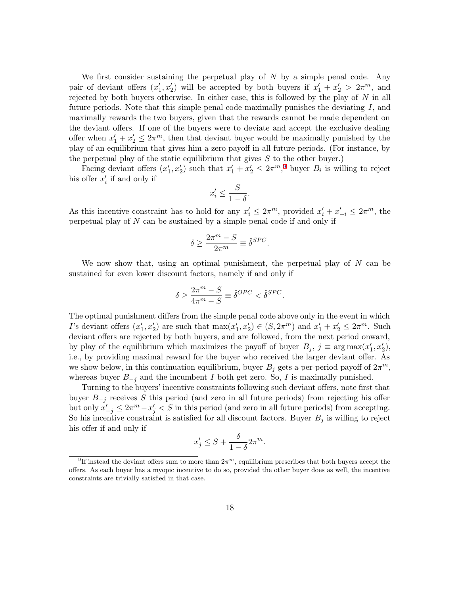We first consider sustaining the perpetual play of  $N$  by a simple penal code. Any pair of deviant offers  $(x'_1, x'_2)$  will be accepted by both buyers if  $x'_1 + x'_2 > 2\pi^m$ , and rejected by both buyers otherwise. In either case, this is followed by the play of  $N$  in all future periods. Note that this simple penal code maximally punishes the deviating  $I$ , and maximally rewards the two buyers, given that the rewards cannot be made dependent on the deviant offers. If one of the buyers were to deviate and accept the exclusive dealing offer when  $x_1' + x_2' \leq 2\pi^m$ , then that deviant buyer would be maximally punished by the play of an equilibrium that gives him a zero payoff in all future periods. (For instance, by the perpetual play of the static equilibrium that gives  $S$  to the other buyer.)

Facing deviant offers  $(x'_1, x'_2)$  such that  $x'_1 + x'_2 \leq 2\pi^m$ , buyer  $B_i$  is willing to reject his offer  $x_i'$  if and only if

$$
x'_i \le \frac{S}{1-\delta}.
$$

As this incentive constraint has to hold for any  $x'_i \leq 2\pi^m$ , provided  $x'_i + x'_{-i} \leq 2\pi^m$ , the perpetual play of  $N$  can be sustained by a simple penal code if and only if

$$
\delta \ge \frac{2\pi^m-S}{2\pi^m} \equiv \hat{\delta}^{SPC}.
$$

We now show that, using an optimal punishment, the perpetual play of  $N$  can be sustained for even lower discount factors, namely if and only if

$$
\delta \ge \frac{2\pi^m - S}{4\pi^m - S} \equiv \hat{\delta}^{OPC} < \hat{\delta}^{SPC}.
$$

The optimal punishment differs from the simple penal code above only in the event in which I's deviant offers  $(x'_1, x'_2)$  are such that  $\max(x'_1, x'_2) \in (S, 2\pi^m)$  and  $x'_1 + x'_2 \leq 2\pi^m$ . Such deviant offers are rejected by both buyers, and are followed, from the next period onward, by play of the equilibrium which maximizes the payoff of buyer  $B_j$ ,  $j \equiv \arg \max(x'_1, x'_2)$ , i.e., by providing maximal reward for the buyer who received the larger deviant offer. As we show below, in this continuation equilibrium, buyer  $B_j$  gets a per-period payoff of  $2\pi^m$ , whereas buyer  $B_{-j}$  and the incumbent I both get zero. So, I is maximally punished.

Turning to the buyers' incentive constraints following such deviant offers, note first that buyer  $B_{-j}$  receives S this period (and zero in all future periods) from rejecting his offer but only  $x'_{-j} \leq 2\pi^m - x'_j \lt S$  in this period (and zero in all future periods) from accepting. So his incentive constraint is satisfied for all discount factors. Buyer  $B_j$  is willing to reject his offer if and only if

$$
x_j' \leq S + \frac{\delta}{1 - \delta} 2\pi^m.
$$

<sup>&</sup>lt;sup>9</sup>If instead the deviant offers sum to more than  $2\pi^m$ , equilibrium prescribes that both buyers accept the offers. As each buyer has a myopic incentive to do so, provided the other buyer does as well, the incentive constraints are trivially satisfied in that case.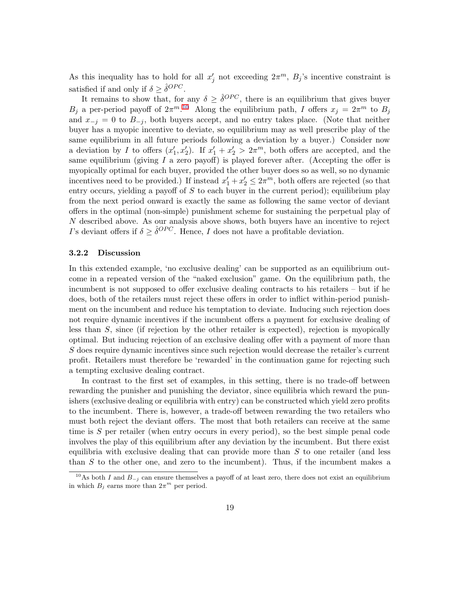As this inequality has to hold for all  $x'_j$  not exceeding  $2\pi^m$ ,  $B_j$ 's incentive constraint is satisfied if and only if  $\delta \geq \hat{\delta}^{OPC}$ .

It remains to show that, for any  $\delta \geq \hat{\delta}^{OPC}$ , there is an equilibrium that gives buyer  $B_j$  a per-period payoff of  $2\pi^{m}$ .<sup>10</sup> Along the equilibrium path, I offers  $x_j = 2\pi^m$  to  $B_j$ and  $x_{-j} = 0$  to  $B_{-j}$ , both buyers accept, and no entry takes place. (Note that neither buyer has a myopic incentive to deviate, so equilibrium may as well prescribe play of the same equilibrium in all future periods following a deviation by a buyer.) Consider now a deviation by I to offers  $(x'_1, x'_2)$ . If  $x'_1 + x'_2 > 2\pi^m$ , both offers are accepted, and the same equilibrium (giving  $I$  a zero payoff) is played forever after. (Accepting the offer is myopically optimal for each buyer, provided the other buyer does so as well, so no dynamic incentives need to be provided.) If instead  $x'_1 + x'_2 \leq 2\pi^m$ , both offers are rejected (so that entry occurs, yielding a payoff of  $S$  to each buyer in the current period); equilibrium play from the next period onward is exactly the same as following the same vector of deviant offers in the optimal (non-simple) punishment scheme for sustaining the perpetual play of  $N$  described above. As our analysis above shows, both buyers have an incentive to reject I's deviant offers if  $\delta \geq \hat{\delta}^{OPC}$ . Hence, I does not have a profitable deviation.

### 3.2.2 Discussion

In this extended example, 'no exclusive dealing' can be supported as an equilibrium outcome in a repeated version of the "naked exclusion" game. On the equilibrium path, the incumbent is not supposed to offer exclusive dealing contracts to his retailers – but if he does, both of the retailers must reject these offers in order to inflict within-period punishment on the incumbent and reduce his temptation to deviate. Inducing such rejection does not require dynamic incentives if the incumbent offers a payment for exclusive dealing of less than S, since (if rejection by the other retailer is expected), rejection is myopically optimal. But inducing rejection of an exclusive dealing offer with a payment of more than S does require dynamic incentives since such rejection would decrease the retailer's current profit. Retailers must therefore be 'rewarded' in the continuation game for rejecting such a tempting exclusive dealing contract.

In contrast to the first set of examples, in this setting, there is no trade-off between rewarding the punisher and punishing the deviator, since equilibria which reward the punishers (exclusive dealing or equilibria with entry) can be constructed which yield zero profits to the incumbent. There is, however, a trade-off between rewarding the two retailers who must both reject the deviant offers. The most that both retailers can receive at the same time is S per retailer (when entry occurs in every period), so the best simple penal code involves the play of this equilibrium after any deviation by the incumbent. But there exist equilibria with exclusive dealing that can provide more than  $S$  to one retailer (and less than S to the other one, and zero to the incumbent). Thus, if the incumbent makes a

<sup>&</sup>lt;sup>10</sup>As both I and  $B_{-i}$  can ensure themselves a payoff of at least zero, there does not exist an equilibrium in which  $B_i$  earns more than  $2\pi^m$  per period.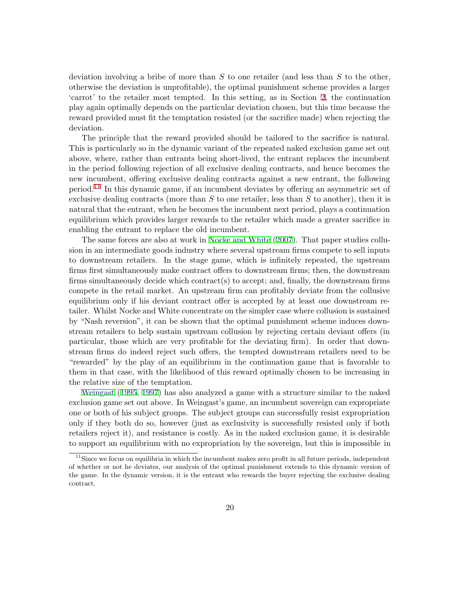deviation involving a bribe of more than  $S$  to one retailer (and less than  $S$  to the other, otherwise the deviation is unprofitable), the optimal punishment scheme provides a larger 'carrot' to the retailer most tempted. In this setting, as in Section [2,](#page-5-0) the continuation play again optimally depends on the particular deviation chosen, but this time because the reward provided must fit the temptation resisted (or the sacrifice made) when rejecting the deviation.

The principle that the reward provided should be tailored to the sacrifice is natural. This is particularly so in the dynamic variant of the repeated naked exclusion game set out above, where, rather than entrants being short-lived, the entrant replaces the incumbent in the period following rejection of all exclusive dealing contracts, and hence becomes the new incumbent, offering exclusive dealing contracts against a new entrant, the following period.<sup>11</sup> In this dynamic game, if an incumbent deviates by offering an asymmetric set of exclusive dealing contracts (more than  $S$  to one retailer, less than  $S$  to another), then it is natural that the entrant, when he becomes the incumbent next period, plays a continuation equilibrium which provides larger rewards to the retailer which made a greater sacrifice in enabling the entrant to replace the old incumbent.

The same forces are also at work in [Nocke and White](#page-23-0) [\(2007](#page-23-0)). That paper studies collusion in an intermediate goods industry where several upstream firms compete to sell inputs to downstream retailers. In the stage game, which is infinitely repeated, the upstream firms first simultaneously make contract offers to downstream firms; then, the downstream firms simultaneously decide which contract(s) to accept; and, finally, the downstream firms compete in the retail market. An upstream firm can profitably deviate from the collusive equilibrium only if his deviant contract offer is accepted by at least one downstream retailer. Whilst Nocke and White concentrate on the simpler case where collusion is sustained by "Nash reversion", it can be shown that the optimal punishment scheme induces downstream retailers to help sustain upstream collusion by rejecting certain deviant offers (in particular, those which are very profitable for the deviating firm). In order that downstream firms do indeed reject such offers, the tempted downstream retailers need to be "rewarded" by the play of an equilibrium in the continuation game that is favorable to them in that case, with the likelihood of this reward optimally chosen to be increasing in the relative size of the temptation.

[Weingast](#page-23-0) [\(1995](#page-23-0), [1997\)](#page-23-0) has also analyzed a game with a structure similar to the naked exclusion game set out above. In Weingast's game, an incumbent sovereign can expropriate one or both of his subject groups. The subject groups can successfully resist expropriation only if they both do so, however (just as exclusivity is successfully resisted only if both retailers reject it), and resistance is costly. As in the naked exclusion game, it is desirable to support an equilibrium with no expropriation by the sovereign, but this is impossible in

 $11$ Since we focus on equilibria in which the incumbent makes zero profit in all future periods, independent of whether or not he deviates, our analysis of the optimal punishment extends to this dynamic version of the game. In the dynamic version, it is the entrant who rewards the buyer rejecting the exclusive dealing contract.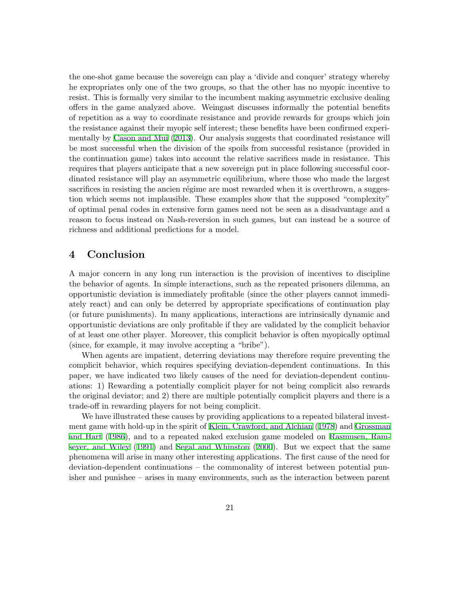the one-shot game because the sovereign can play a 'divide and conquer' strategy whereby he expropriates only one of the two groups, so that the other has no myopic incentive to resist. This is formally very similar to the incumbent making asymmetric exclusive dealing offers in the game analyzed above. Weingast discusses informally the potential benefits of repetition as a way to coordinate resistance and provide rewards for groups which join the resistance against their myopic self interest; these benefits have been confirmed experimentally by [Cason and Mui](#page-22-0) [\(2013](#page-22-0)). Our analysis suggests that coordinated resistance will be most successful when the division of the spoils from successful resistance (provided in the continuation game) takes into account the relative sacrifices made in resistance. This requires that players anticipate that a new sovereign put in place following successful coordinated resistance will play an asymmetric equilibrium, where those who made the largest sacrifices in resisting the ancien régime are most rewarded when it is overthrown, a suggestion which seems not implausible. These examples show that the supposed "complexity" of optimal penal codes in extensive form games need not be seen as a disadvantage and a reason to focus instead on Nash-reversion in such games, but can instead be a source of richness and additional predictions for a model.

### 4 Conclusion

A major concern in any long run interaction is the provision of incentives to discipline the behavior of agents. In simple interactions, such as the repeated prisoners dilemma, an opportunistic deviation is immediately profitable (since the other players cannot immediately react) and can only be deterred by appropriate specifications of continuation play (or future punishments). In many applications, interactions are intrinsically dynamic and opportunistic deviations are only profitable if they are validated by the complicit behavior of at least one other player. Moreover, this complicit behavior is often myopically optimal (since, for example, it may involve accepting a "bribe").

When agents are impatient, deterring deviations may therefore require preventing the complicit behavior, which requires specifying deviation-dependent continuations. In this paper, we have indicated two likely causes of the need for deviation-dependent continuations: 1) Rewarding a potentially complicit player for not being complicit also rewards the original deviator; and 2) there are multiple potentially complicit players and there is a trade-off in rewarding players for not being complicit.

We have illustrated these causes by providing applications to a repeated bilateral investment game with hold-up in the spirit of [Klein, Crawford, and Alchian](#page-23-0) ([1978](#page-23-0)) and [Grossman](#page-22-0) [and Hart](#page-22-0) [\(1986](#page-22-0)), and to a repeated naked exclusion game modeled on [Rasmusen, Ram](#page-23-0)[seyer, and Wiley](#page-23-0) ([1991\)](#page-23-0) and [Segal and Whinston](#page-23-0) [\(2000\)](#page-23-0). But we expect that the same phenomena will arise in many other interesting applications. The first cause of the need for deviation-dependent continuations – the commonality of interest between potential punisher and punishee – arises in many environments, such as the interaction between parent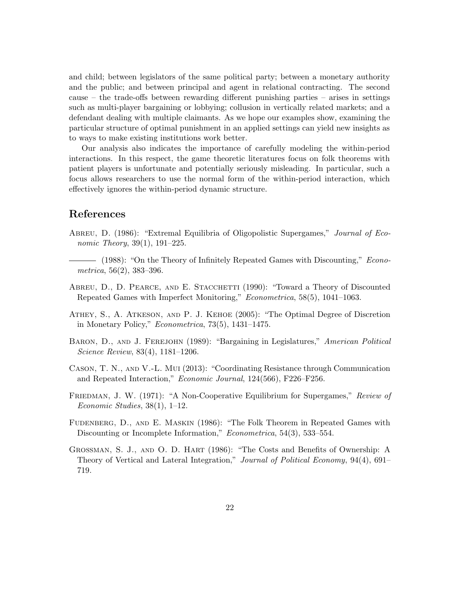<span id="page-22-0"></span>and child; between legislators of the same political party; between a monetary authority and the public; and between principal and agent in relational contracting. The second cause – the trade-offs between rewarding different punishing parties – arises in settings such as multi-player bargaining or lobbying; collusion in vertically related markets; and a defendant dealing with multiple claimants. As we hope our examples show, examining the particular structure of optimal punishment in an applied settings can yield new insights as to ways to make existing institutions work better.

Our analysis also indicates the importance of carefully modeling the within-period interactions. In this respect, the game theoretic literatures focus on folk theorems with patient players is unfortunate and potentially seriously misleading. In particular, such a focus allows researchers to use the normal form of the within-period interaction, which effectively ignores the within-period dynamic structure.

# References

- Abreu, D. (1986): "Extremal Equilibria of Oligopolistic Supergames," Journal of Economic Theory, 39(1), 191–225.
- (1988): "On the Theory of Infinitely Repeated Games with Discounting," *Econo*metrica, 56(2), 383–396.
- ABREU, D., D. PEARCE, AND E. STACCHETTI (1990): "Toward a Theory of Discounted Repeated Games with Imperfect Monitoring," Econometrica, 58(5), 1041–1063.
- Athey, S., A. Atkeson, and P. J. Kehoe (2005): "The Optimal Degree of Discretion in Monetary Policy," Econometrica, 73(5), 1431–1475.
- BARON, D., AND J. FEREJOHN (1989): "Bargaining in Legislatures," American Political Science Review, 83(4), 1181–1206.
- Cason, T. N., and V.-L. Mui (2013): "Coordinating Resistance through Communication and Repeated Interaction," Economic Journal, 124(566), F226–F256.
- FRIEDMAN, J. W. (1971): "A Non-Cooperative Equilibrium for Supergames," Review of Economic Studies, 38(1), 1–12.
- FUDENBERG, D., AND E. MASKIN (1986): "The Folk Theorem in Repeated Games with Discounting or Incomplete Information," *Econometrica*, 54(3), 533–554.
- Grossman, S. J., and O. D. Hart (1986): "The Costs and Benefits of Ownership: A Theory of Vertical and Lateral Integration," Journal of Political Economy, 94(4), 691– 719.